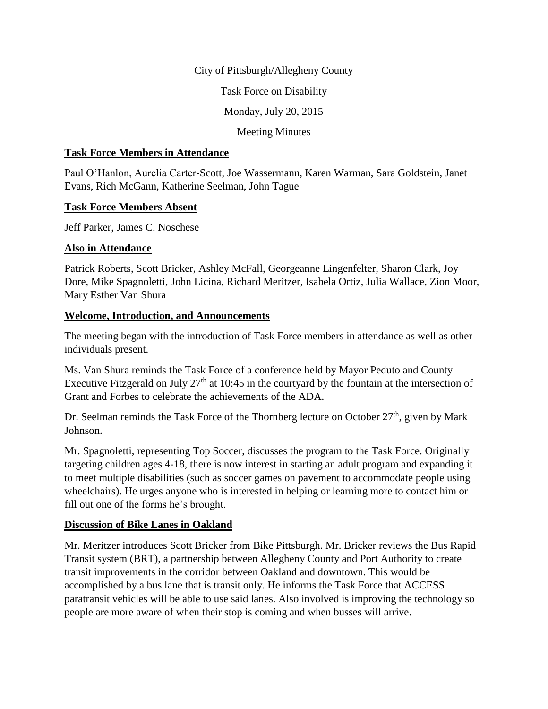### City of Pittsburgh/Allegheny County

Task Force on Disability

Monday, July 20, 2015

### Meeting Minutes

#### **Task Force Members in Attendance**

Paul O'Hanlon, Aurelia Carter-Scott, Joe Wassermann, Karen Warman, Sara Goldstein, Janet Evans, Rich McGann, Katherine Seelman, John Tague

#### **Task Force Members Absent**

Jeff Parker, James C. Noschese

## **Also in Attendance**

Patrick Roberts, Scott Bricker, Ashley McFall, Georgeanne Lingenfelter, Sharon Clark, Joy Dore, Mike Spagnoletti, John Licina, Richard Meritzer, Isabela Ortiz, Julia Wallace, Zion Moor, Mary Esther Van Shura

## **Welcome, Introduction, and Announcements**

The meeting began with the introduction of Task Force members in attendance as well as other individuals present.

Ms. Van Shura reminds the Task Force of a conference held by Mayor Peduto and County Executive Fitzgerald on July  $27<sup>th</sup>$  at 10:45 in the courtyard by the fountain at the intersection of Grant and Forbes to celebrate the achievements of the ADA.

Dr. Seelman reminds the Task Force of the Thornberg lecture on October  $27<sup>th</sup>$ , given by Mark Johnson.

Mr. Spagnoletti, representing Top Soccer, discusses the program to the Task Force. Originally targeting children ages 4-18, there is now interest in starting an adult program and expanding it to meet multiple disabilities (such as soccer games on pavement to accommodate people using wheelchairs). He urges anyone who is interested in helping or learning more to contact him or fill out one of the forms he's brought.

# **Discussion of Bike Lanes in Oakland**

Mr. Meritzer introduces Scott Bricker from Bike Pittsburgh. Mr. Bricker reviews the Bus Rapid Transit system (BRT), a partnership between Allegheny County and Port Authority to create transit improvements in the corridor between Oakland and downtown. This would be accomplished by a bus lane that is transit only. He informs the Task Force that ACCESS paratransit vehicles will be able to use said lanes. Also involved is improving the technology so people are more aware of when their stop is coming and when busses will arrive.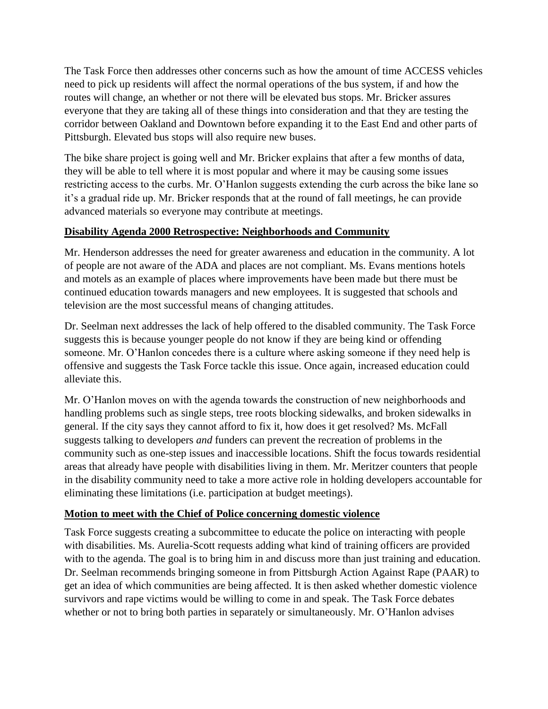The Task Force then addresses other concerns such as how the amount of time ACCESS vehicles need to pick up residents will affect the normal operations of the bus system, if and how the routes will change, an whether or not there will be elevated bus stops. Mr. Bricker assures everyone that they are taking all of these things into consideration and that they are testing the corridor between Oakland and Downtown before expanding it to the East End and other parts of Pittsburgh. Elevated bus stops will also require new buses.

The bike share project is going well and Mr. Bricker explains that after a few months of data, they will be able to tell where it is most popular and where it may be causing some issues restricting access to the curbs. Mr. O'Hanlon suggests extending the curb across the bike lane so it's a gradual ride up. Mr. Bricker responds that at the round of fall meetings, he can provide advanced materials so everyone may contribute at meetings.

# **Disability Agenda 2000 Retrospective: Neighborhoods and Community**

Mr. Henderson addresses the need for greater awareness and education in the community. A lot of people are not aware of the ADA and places are not compliant. Ms. Evans mentions hotels and motels as an example of places where improvements have been made but there must be continued education towards managers and new employees. It is suggested that schools and television are the most successful means of changing attitudes.

Dr. Seelman next addresses the lack of help offered to the disabled community. The Task Force suggests this is because younger people do not know if they are being kind or offending someone. Mr. O'Hanlon concedes there is a culture where asking someone if they need help is offensive and suggests the Task Force tackle this issue. Once again, increased education could alleviate this.

Mr. O'Hanlon moves on with the agenda towards the construction of new neighborhoods and handling problems such as single steps, tree roots blocking sidewalks, and broken sidewalks in general. If the city says they cannot afford to fix it, how does it get resolved? Ms. McFall suggests talking to developers *and* funders can prevent the recreation of problems in the community such as one-step issues and inaccessible locations. Shift the focus towards residential areas that already have people with disabilities living in them. Mr. Meritzer counters that people in the disability community need to take a more active role in holding developers accountable for eliminating these limitations (i.e. participation at budget meetings).

## **Motion to meet with the Chief of Police concerning domestic violence**

Task Force suggests creating a subcommittee to educate the police on interacting with people with disabilities. Ms. Aurelia-Scott requests adding what kind of training officers are provided with to the agenda. The goal is to bring him in and discuss more than just training and education. Dr. Seelman recommends bringing someone in from Pittsburgh Action Against Rape (PAAR) to get an idea of which communities are being affected. It is then asked whether domestic violence survivors and rape victims would be willing to come in and speak. The Task Force debates whether or not to bring both parties in separately or simultaneously. Mr. O'Hanlon advises